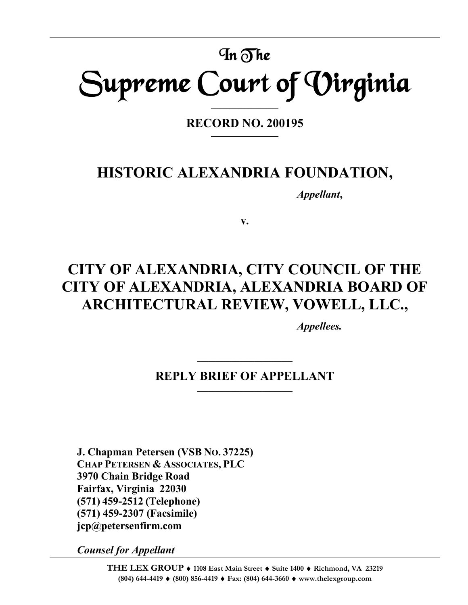# In The Supreme Court of Virginia

**RECORD NO. 200195 \_\_\_\_\_\_\_\_\_\_\_\_\_\_\_\_\_\_\_\_\_\_**

**\_\_\_\_\_\_\_\_\_\_\_\_\_\_\_\_\_\_\_\_\_\_**

# **HISTORIC ALEXANDRIA FOUNDATION,**

*Appellant***,**

**v.**

# **CITY OF ALEXANDRIA, CITY COUNCIL OF THE CITY OF ALEXANDRIA, ALEXANDRIA BOARD OF ARCHITECTURAL REVIEW, VOWELL, LLC.,**

*Appellees.*

# **REPLY BRIEF OF APPELLANT \_\_\_\_\_\_\_\_\_\_\_\_\_\_\_\_\_\_\_\_\_\_\_\_\_**

**\_\_\_\_\_\_\_\_\_\_\_\_\_\_\_\_\_\_\_\_\_\_\_\_\_**

**J. Chapman Petersen (VSB NO. 37225) CHAP PETERSEN & ASSOCIATES, PLC 3970 Chain Bridge Road Fairfax, Virginia 22030 (571) 459-2512 (Telephone) (571) 459-2307 (Facsimile) jcp@petersenfirm.com**

*Counsel for Appellant*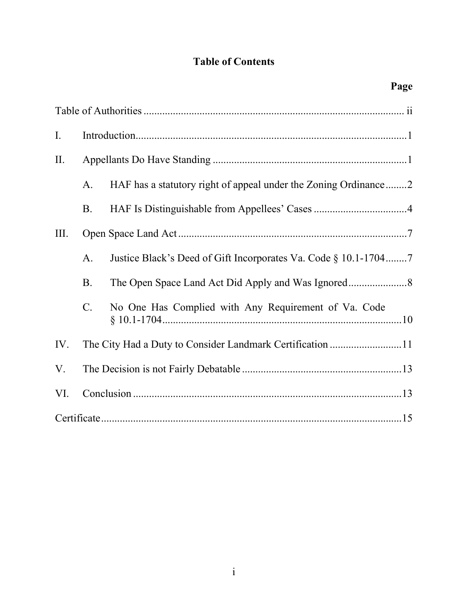# **Table of Contents**

| I.   |                 |                                                                 |  |
|------|-----------------|-----------------------------------------------------------------|--|
| П.   |                 |                                                                 |  |
|      | A.              | HAF has a statutory right of appeal under the Zoning Ordinance2 |  |
|      | <b>B.</b>       |                                                                 |  |
| III. |                 |                                                                 |  |
|      | A.              | Justice Black's Deed of Gift Incorporates Va. Code § 10.1-17047 |  |
|      | <b>B.</b>       |                                                                 |  |
|      | $\mathcal{C}$ . | No One Has Complied with Any Requirement of Va. Code            |  |
| IV.  |                 | The City Had a Duty to Consider Landmark Certification 11       |  |
| V.   |                 |                                                                 |  |
| VI.  |                 |                                                                 |  |
|      |                 |                                                                 |  |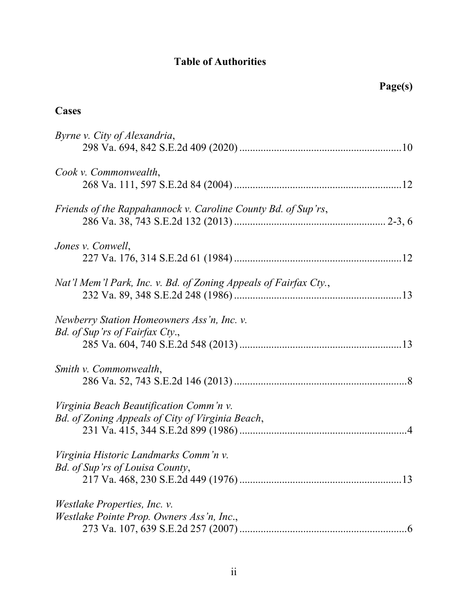# **Table of Authorities**

# **Cases**

| Byrne v. City of Alexandria,                                                                |
|---------------------------------------------------------------------------------------------|
| Cook v. Commonwealth,                                                                       |
| Friends of the Rappahannock v. Caroline County Bd. of Sup'rs,                               |
| Jones v. Conwell,                                                                           |
| Nat'l Mem'l Park, Inc. v. Bd. of Zoning Appeals of Fairfax Cty.,                            |
| Newberry Station Homeowners Ass'n, Inc. v.<br>Bd. of Sup'rs of Fairfax Cty.,                |
| Smith v. Commonwealth,                                                                      |
| Virginia Beach Beautification Comm'n v.<br>Bd. of Zoning Appeals of City of Virginia Beach, |
| Virginia Historic Landmarks Comm'n v.<br>Bd. of Sup'rs of Louisa County,                    |
| <i>Westlake Properties, Inc. v.</i><br>Westlake Pointe Prop. Owners Ass'n, Inc.,            |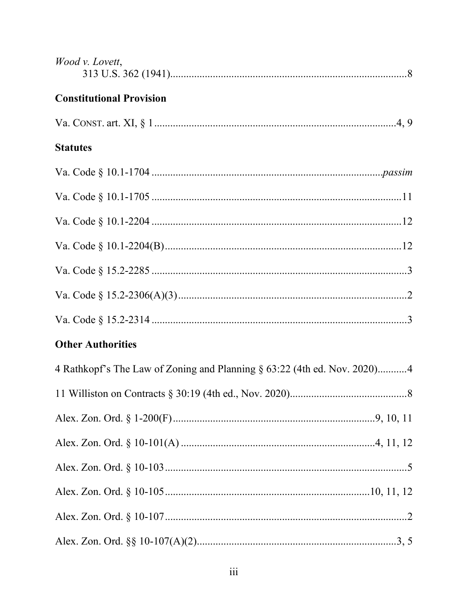| Wood v. Lovett,                                                          |  |
|--------------------------------------------------------------------------|--|
| <b>Constitutional Provision</b>                                          |  |
|                                                                          |  |
| <b>Statutes</b>                                                          |  |
|                                                                          |  |
|                                                                          |  |
|                                                                          |  |
|                                                                          |  |
|                                                                          |  |
|                                                                          |  |
|                                                                          |  |
| <b>Other Authorities</b>                                                 |  |
| 4 Rathkopf's The Law of Zoning and Planning § 63:22 (4th ed. Nov. 2020)4 |  |
|                                                                          |  |
|                                                                          |  |
|                                                                          |  |
|                                                                          |  |
|                                                                          |  |
|                                                                          |  |
|                                                                          |  |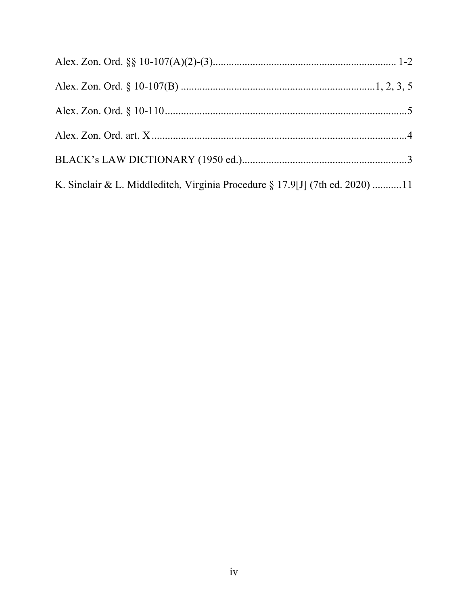| K. Sinclair & L. Middleditch, Virginia Procedure § 17.9[J] (7th ed. 2020) 11 |  |
|------------------------------------------------------------------------------|--|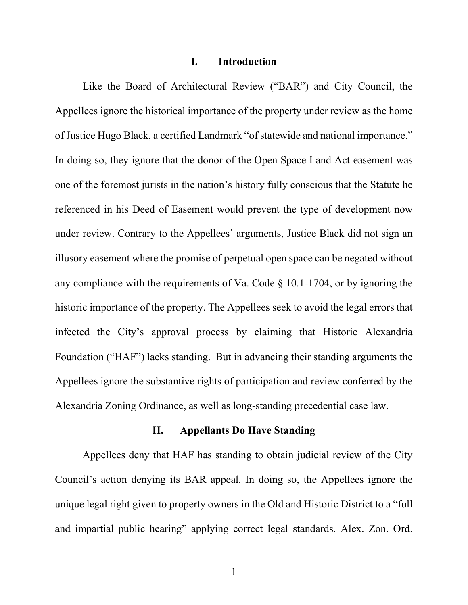#### **I. Introduction**

Like the Board of Architectural Review ("BAR") and City Council, the Appellees ignore the historical importance of the property under review as the home of Justice Hugo Black, a certified Landmark "of statewide and national importance." In doing so, they ignore that the donor of the Open Space Land Act easement was one of the foremost jurists in the nation's history fully conscious that the Statute he referenced in his Deed of Easement would prevent the type of development now under review. Contrary to the Appellees' arguments, Justice Black did not sign an illusory easement where the promise of perpetual open space can be negated without any compliance with the requirements of Va. Code § 10.1-1704, or by ignoring the historic importance of the property. The Appellees seek to avoid the legal errors that infected the City's approval process by claiming that Historic Alexandria Foundation ("HAF") lacks standing. But in advancing their standing arguments the Appellees ignore the substantive rights of participation and review conferred by the Alexandria Zoning Ordinance, as well as long-standing precedential case law.

# **II. Appellants Do Have Standing**

Appellees deny that HAF has standing to obtain judicial review of the City Council's action denying its BAR appeal. In doing so, the Appellees ignore the unique legal right given to property owners in the Old and Historic District to a "full and impartial public hearing" applying correct legal standards. Alex. Zon. Ord.

1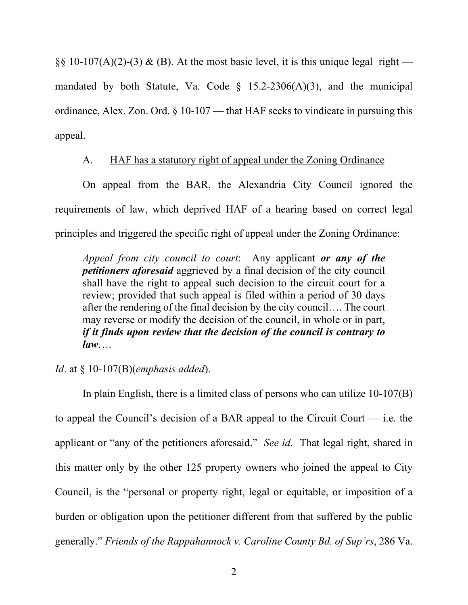§§ 10-107(A)(2)-(3) & (B). At the most basic level, it is this unique legal right mandated by both Statute, Va. Code  $\S$  15.2-2306(A)(3), and the municipal ordinance, Alex. Zon. Ord. § 10-107 — that HAF seeks to vindicate in pursuing this appeal.

# A. HAF has a statutory right of appeal under the Zoning Ordinance

On appeal from the BAR, the Alexandria City Council ignored the requirements of law, which deprived HAF of a hearing based on correct legal principles and triggered the specific right of appeal under the Zoning Ordinance:

*Appeal from city council to court*: Any applicant *or any of the petitioners aforesaid* aggrieved by a final decision of the city council shall have the right to appeal such decision to the circuit court for a review; provided that such appeal is filed within a period of 30 days after the rendering of the final decision by the city council…. The court may reverse or modify the decision of the council, in whole or in part, *if it finds upon review that the decision of the council is contrary to law*….

# *Id*. at § 10-107(B)(*emphasis added*).

In plain English, there is a limited class of persons who can utilize 10-107(B) to appeal the Council's decision of a BAR appeal to the Circuit Court  $-$  i.e. the applicant or "any of the petitioners aforesaid." *See id.* That legal right, shared in this matter only by the other 125 property owners who joined the appeal to City Council, is the "personal or property right, legal or equitable, or imposition of a burden or obligation upon the petitioner different from that suffered by the public generally." *Friends of the Rappahannock v. Caroline County Bd. of Sup'rs*, 286 Va.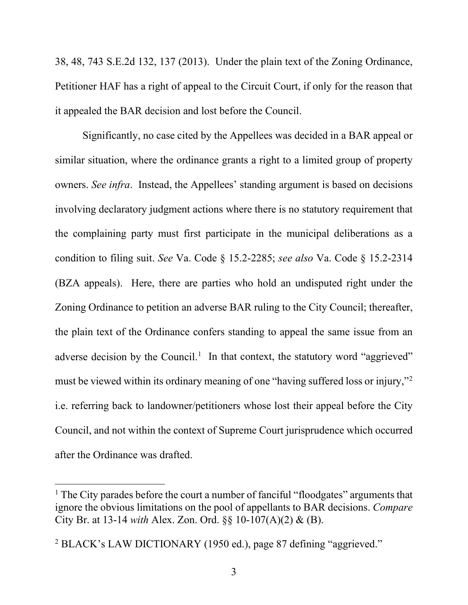38, 48, 743 S.E.2d 132, 137 (2013). Under the plain text of the Zoning Ordinance, Petitioner HAF has a right of appeal to the Circuit Court, if only for the reason that it appealed the BAR decision and lost before the Council.

Significantly, no case cited by the Appellees was decided in a BAR appeal or similar situation, where the ordinance grants a right to a limited group of property owners. *See infra*. Instead, the Appellees' standing argument is based on decisions involving declaratory judgment actions where there is no statutory requirement that the complaining party must first participate in the municipal deliberations as a condition to filing suit. *See* Va. Code § 15.2-2285; *see also* Va. Code § 15.2-2314 (BZA appeals). Here, there are parties who hold an undisputed right under the Zoning Ordinance to petition an adverse BAR ruling to the City Council; thereafter, the plain text of the Ordinance confers standing to appeal the same issue from an adverse decision by the Council.<sup>[1](#page-7-0)</sup> In that context, the statutory word "aggrieved" must be viewed within its ordinary meaning of one "having suffered loss or injury,["2](#page-7-1) i.e. referring back to landowner/petitioners whose lost their appeal before the City Council, and not within the context of Supreme Court jurisprudence which occurred after the Ordinance was drafted.

<span id="page-7-0"></span><sup>&</sup>lt;sup>1</sup> The City parades before the court a number of fanciful "floodgates" arguments that ignore the obvious limitations on the pool of appellants to BAR decisions. *Compare* City Br. at 13-14 *with* Alex. Zon. Ord. §§ 10-107(A)(2) & (B).

<span id="page-7-1"></span><sup>2</sup> BLACK's LAW DICTIONARY (1950 ed.), page 87 defining "aggrieved."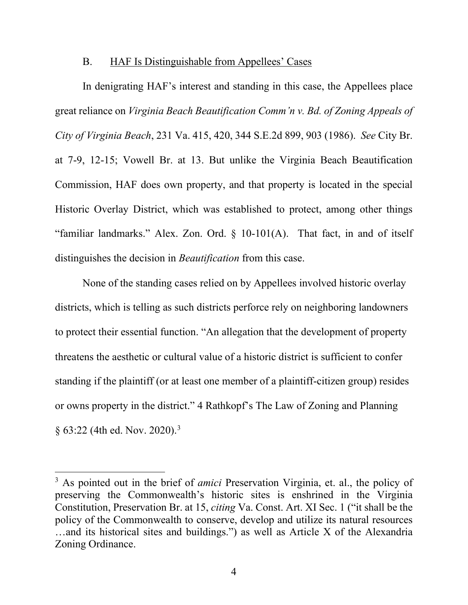# B. HAF Is Distinguishable from Appellees' Cases

In denigrating HAF's interest and standing in this case, the Appellees place great reliance on *Virginia Beach Beautification Comm'n v. Bd. of Zoning Appeals of City of Virginia Beach*, 231 Va. 415, 420, 344 S.E.2d 899, 903 (1986). *See* City Br. at 7-9, 12-15; Vowell Br. at 13. But unlike the Virginia Beach Beautification Commission, HAF does own property, and that property is located in the special Historic Overlay District, which was established to protect, among other things "familiar landmarks." Alex. Zon. Ord. § 10-101(A). That fact, in and of itself distinguishes the decision in *Beautification* from this case.

None of the standing cases relied on by Appellees involved historic overlay districts, which is telling as such districts perforce rely on neighboring landowners to protect their essential function. "An allegation that the development of property threatens the aesthetic or cultural value of a historic district is sufficient to confer standing if the plaintiff (or at least one member of a plaintiff-citizen group) resides or owns property in the district." 4 Rathkopf's The Law of Zoning and Planning  $§ 63:22$  $§ 63:22$  $§ 63:22$  (4th ed. Nov. 2020).<sup>3</sup>

<span id="page-8-0"></span><sup>3</sup> As pointed out in the brief of *amici* Preservation Virginia, et. al., the policy of preserving the Commonwealth's historic sites is enshrined in the Virginia Constitution, Preservation Br. at 15, *citing* Va. Const. Art. XI Sec. 1 ("it shall be the policy of the Commonwealth to conserve, develop and utilize its natural resources …and its historical sites and buildings.") as well as Article X of the Alexandria Zoning Ordinance.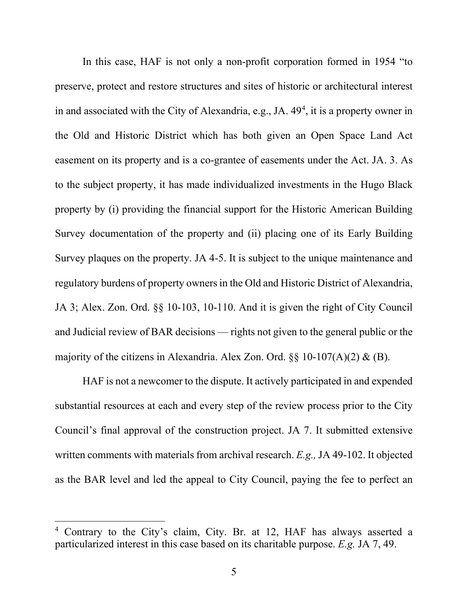In this case, HAF is not only a non-profit corporation formed in 1954 "to preserve, protect and restore structures and sites of historic or architectural interest in and associated with the City of Alexandria, e.g., JA. [4](#page-9-0)9<sup>4</sup>, it is a property owner in the Old and Historic District which has both given an Open Space Land Act easement on its property and is a co-grantee of easements under the Act. JA. 3. As to the subject property, it has made individualized investments in the Hugo Black property by (i) providing the financial support for the Historic American Building Survey documentation of the property and (ii) placing one of its Early Building Survey plaques on the property. JA 4-5. It is subject to the unique maintenance and regulatory burdens of property owners in the Old and Historic District of Alexandria, JA 3; Alex. Zon. Ord. §§ 10-103, 10-110. And it is given the right of City Council and Judicial review of BAR decisions — rights not given to the general public or the majority of the citizens in Alexandria. Alex Zon. Ord.  $\S$  10-107(A)(2) & (B).

HAF is not a newcomer to the dispute. It actively participated in and expended substantial resources at each and every step of the review process prior to the City Council's final approval of the construction project. JA 7. It submitted extensive written comments with materials from archival research. *E.g.,* JA 49-102. It objected as the BAR level and led the appeal to City Council, paying the fee to perfect an

<span id="page-9-0"></span><sup>4</sup> Contrary to the City's claim, City. Br. at 12, HAF has always asserted a particularized interest in this case based on its charitable purpose. *E.g.* JA 7, 49.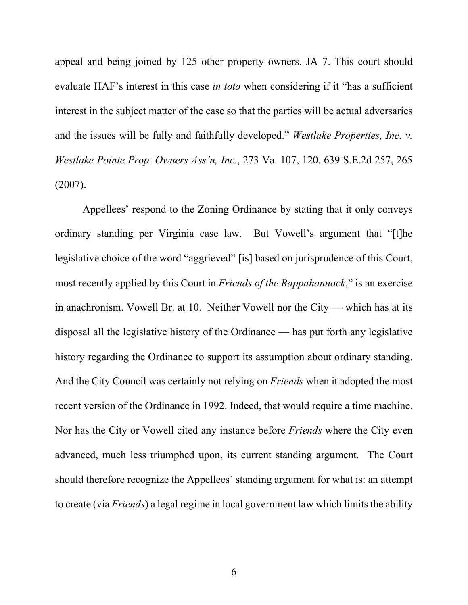appeal and being joined by 125 other property owners. JA 7. This court should evaluate HAF's interest in this case *in toto* when considering if it "has a sufficient interest in the subject matter of the case so that the parties will be actual adversaries and the issues will be fully and faithfully developed." *Westlake Properties, Inc. v. Westlake Pointe Prop. Owners Ass'n, Inc*., 273 Va. 107, 120, 639 S.E.2d 257, 265 (2007).

Appellees' respond to the Zoning Ordinance by stating that it only conveys ordinary standing per Virginia case law. But Vowell's argument that "[t]he legislative choice of the word "aggrieved" [is] based on jurisprudence of this Court, most recently applied by this Court in *Friends of the Rappahannock*," is an exercise in anachronism. Vowell Br. at 10. Neither Vowell nor the City — which has at its disposal all the legislative history of the Ordinance — has put forth any legislative history regarding the Ordinance to support its assumption about ordinary standing. And the City Council was certainly not relying on *Friends* when it adopted the most recent version of the Ordinance in 1992. Indeed, that would require a time machine. Nor has the City or Vowell cited any instance before *Friends* where the City even advanced, much less triumphed upon, its current standing argument. The Court should therefore recognize the Appellees' standing argument for what is: an attempt to create (via *Friends*) a legal regime in local government law which limits the ability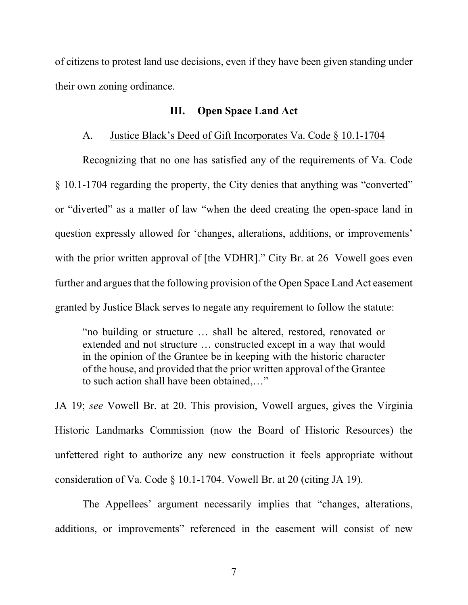of citizens to protest land use decisions, even if they have been given standing under their own zoning ordinance.

# **III. Open Space Land Act**

## A. Justice Black's Deed of Gift Incorporates Va. Code § 10.1-1704

Recognizing that no one has satisfied any of the requirements of Va. Code § 10.1-1704 regarding the property, the City denies that anything was "converted" or "diverted" as a matter of law "when the deed creating the open-space land in question expressly allowed for 'changes, alterations, additions, or improvements' with the prior written approval of [the VDHR]." City Br. at 26 Vowell goes even further and argues that the following provision of the Open Space Land Act easement granted by Justice Black serves to negate any requirement to follow the statute:

"no building or structure … shall be altered, restored, renovated or extended and not structure … constructed except in a way that would in the opinion of the Grantee be in keeping with the historic character of the house, and provided that the prior written approval of the Grantee to such action shall have been obtained,…"

JA 19; *see* Vowell Br. at 20. This provision, Vowell argues, gives the Virginia Historic Landmarks Commission (now the Board of Historic Resources) the unfettered right to authorize any new construction it feels appropriate without consideration of Va. Code § 10.1-1704. Vowell Br. at 20 (citing JA 19).

The Appellees' argument necessarily implies that "changes, alterations, additions, or improvements" referenced in the easement will consist of new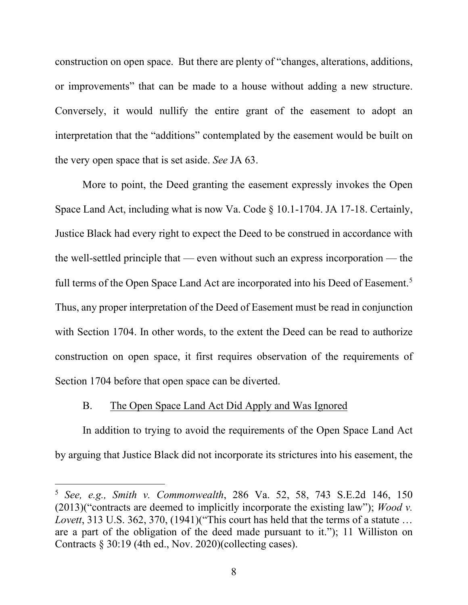construction on open space. But there are plenty of "changes, alterations, additions, or improvements" that can be made to a house without adding a new structure. Conversely, it would nullify the entire grant of the easement to adopt an interpretation that the "additions" contemplated by the easement would be built on the very open space that is set aside. *See* JA 63.

More to point, the Deed granting the easement expressly invokes the Open Space Land Act, including what is now Va. Code § 10.1-1704. JA 17-18. Certainly, Justice Black had every right to expect the Deed to be construed in accordance with the well-settled principle that — even without such an express incorporation — the full terms of the Open Space Land Act are incorporated into his Deed of Easement.<sup>[5](#page-12-0)</sup> Thus, any proper interpretation of the Deed of Easement must be read in conjunction with Section 1704. In other words, to the extent the Deed can be read to authorize construction on open space, it first requires observation of the requirements of Section 1704 before that open space can be diverted.

# B. The Open Space Land Act Did Apply and Was Ignored

In addition to trying to avoid the requirements of the Open Space Land Act by arguing that Justice Black did not incorporate its strictures into his easement, the

<span id="page-12-0"></span><sup>5</sup> *See, e.g., Smith v. Commonwealth*, 286 Va. 52, 58, 743 S.E.2d 146, 150 (2013)("contracts are deemed to implicitly incorporate the existing law"); *Wood v. Lovett*, 313 U.S. 362, 370, (1941)("This court has held that the terms of a statute … are a part of the obligation of the deed made pursuant to it."); 11 Williston on Contracts § 30:19 (4th ed., Nov. 2020)(collecting cases).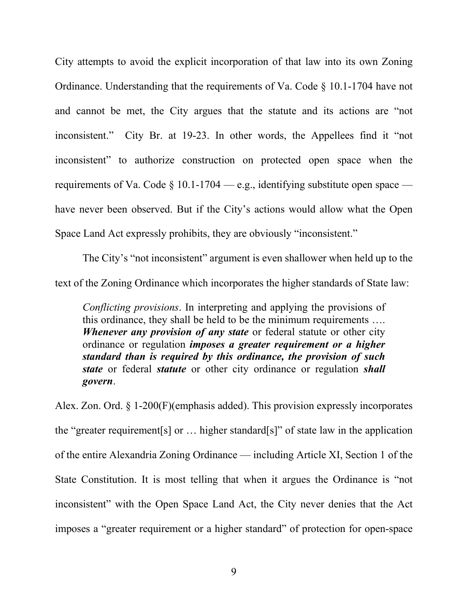City attempts to avoid the explicit incorporation of that law into its own Zoning Ordinance. Understanding that the requirements of Va. Code § 10.1-1704 have not and cannot be met, the City argues that the statute and its actions are "not inconsistent." City Br. at 19-23. In other words, the Appellees find it "not inconsistent" to authorize construction on protected open space when the requirements of Va. Code § 10.1-1704 — e.g., identifying substitute open space have never been observed. But if the City's actions would allow what the Open Space Land Act expressly prohibits, they are obviously "inconsistent."

The City's "not inconsistent" argument is even shallower when held up to the text of the Zoning Ordinance which incorporates the higher standards of State law:

*Conflicting provisions*. In interpreting and applying the provisions of this ordinance, they shall be held to be the minimum requirements …. *Whenever any provision of any state* or federal statute or other city ordinance or regulation *imposes a greater requirement or a higher standard than is required by this ordinance, the provision of such state* or federal *statute* or other city ordinance or regulation *shall govern*.

Alex. Zon. Ord. § 1-200(F)(emphasis added). This provision expressly incorporates the "greater requirement[s] or … higher standard[s]" of state law in the application of the entire Alexandria Zoning Ordinance — including Article XI, Section 1 of the State Constitution. It is most telling that when it argues the Ordinance is "not inconsistent" with the Open Space Land Act, the City never denies that the Act imposes a "greater requirement or a higher standard" of protection for open-space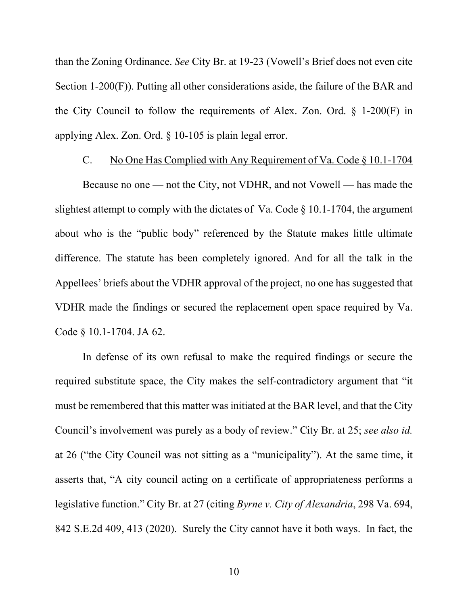than the Zoning Ordinance. *See* City Br. at 19-23 (Vowell's Brief does not even cite Section 1-200(F)). Putting all other considerations aside, the failure of the BAR and the City Council to follow the requirements of Alex. Zon. Ord. § 1-200(F) in applying Alex. Zon. Ord. § 10-105 is plain legal error.

### C. No One Has Complied with Any Requirement of Va. Code § 10.1-1704

Because no one — not the City, not VDHR, and not Vowell — has made the slightest attempt to comply with the dictates of Va. Code § 10.1-1704, the argument about who is the "public body" referenced by the Statute makes little ultimate difference. The statute has been completely ignored. And for all the talk in the Appellees' briefs about the VDHR approval of the project, no one has suggested that VDHR made the findings or secured the replacement open space required by Va. Code § 10.1-1704. JA 62.

In defense of its own refusal to make the required findings or secure the required substitute space, the City makes the self-contradictory argument that "it must be remembered that this matter was initiated at the BAR level, and that the City Council's involvement was purely as a body of review." City Br. at 25; *see also id.* at 26 ("the City Council was not sitting as a "municipality"). At the same time, it asserts that, "A city council acting on a certificate of appropriateness performs a legislative function." City Br. at 27 (citing *Byrne v. City of Alexandria*, 298 Va. 694, 842 S.E.2d 409, 413 (2020). Surely the City cannot have it both ways. In fact, the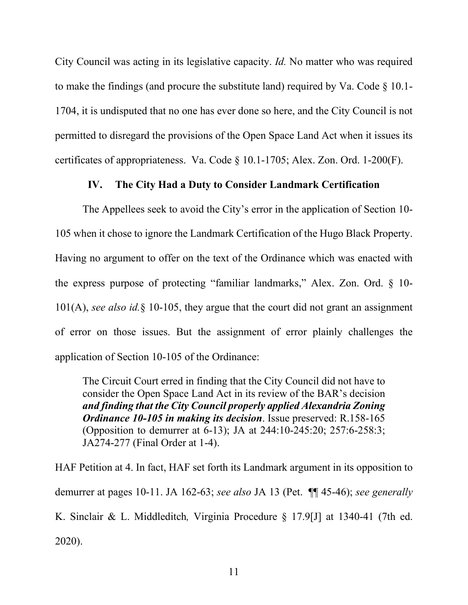City Council was acting in its legislative capacity. *Id.* No matter who was required to make the findings (and procure the substitute land) required by Va. Code  $\S$  10.1-1704, it is undisputed that no one has ever done so here, and the City Council is not permitted to disregard the provisions of the Open Space Land Act when it issues its certificates of appropriateness. Va. Code § 10.1-1705; Alex. Zon. Ord. 1-200(F).

# **IV. The City Had a Duty to Consider Landmark Certification**

The Appellees seek to avoid the City's error in the application of Section 10- 105 when it chose to ignore the Landmark Certification of the Hugo Black Property. Having no argument to offer on the text of the Ordinance which was enacted with the express purpose of protecting "familiar landmarks," Alex. Zon. Ord. § 10- 101(A), *see also id.*§ 10-105, they argue that the court did not grant an assignment of error on those issues. But the assignment of error plainly challenges the application of Section 10-105 of the Ordinance:

The Circuit Court erred in finding that the City Council did not have to consider the Open Space Land Act in its review of the BAR's decision *and finding that the City Council properly applied Alexandria Zoning Ordinance 10-105 in making its decision*. Issue preserved: R.158-165 (Opposition to demurrer at 6-13); JA at 244:10-245:20; 257:6-258:3; JA274-277 (Final Order at 1-4).

HAF Petition at 4. In fact, HAF set forth its Landmark argument in its opposition to demurrer at pages 10-11. JA 162-63; *see also* JA 13 (Pet. ¶¶ 45-46); *see generally* K. Sinclair & L. Middleditch*,* Virginia Procedure § 17.9[J] at 1340-41 (7th ed. 2020).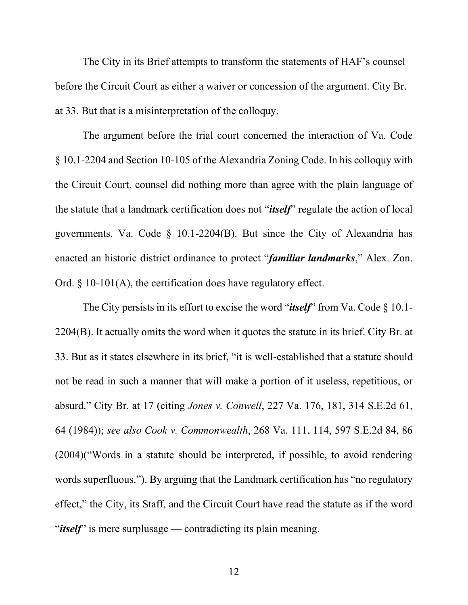The City in its Brief attempts to transform the statements of HAF's counsel before the Circuit Court as either a waiver or concession of the argument. City Br. at 33. But that is a misinterpretation of the colloquy.

The argument before the trial court concerned the interaction of Va. Code § 10.1-2204 and Section 10-105 of the Alexandria Zoning Code. In his colloquy with the Circuit Court, counsel did nothing more than agree with the plain language of the statute that a landmark certification does not "*itself*" regulate the action of local governments. Va. Code § 10.1-2204(B). But since the City of Alexandria has enacted an historic district ordinance to protect "*familiar landmarks*," Alex. Zon. Ord. § 10-101(A), the certification does have regulatory effect.

The City persists in its effort to excise the word "*itself*" from Va. Code § 10.1- 2204(B). It actually omits the word when it quotes the statute in its brief. City Br. at 33. But as it states elsewhere in its brief, "it is well-established that a statute should not be read in such a manner that will make a portion of it useless, repetitious, or absurd." City Br. at 17 (citing *Jones v. Conwell*, 227 Va. 176, 181, 314 S.E.2d 61, 64 (1984)); *see also Cook v. Commonwealth*, 268 Va. 111, 114, 597 S.E.2d 84, 86 (2004)("Words in a statute should be interpreted, if possible, to avoid rendering words superfluous."). By arguing that the Landmark certification has "no regulatory effect," the City, its Staff, and the Circuit Court have read the statute as if the word "*itself*" is mere surplusage — contradicting its plain meaning.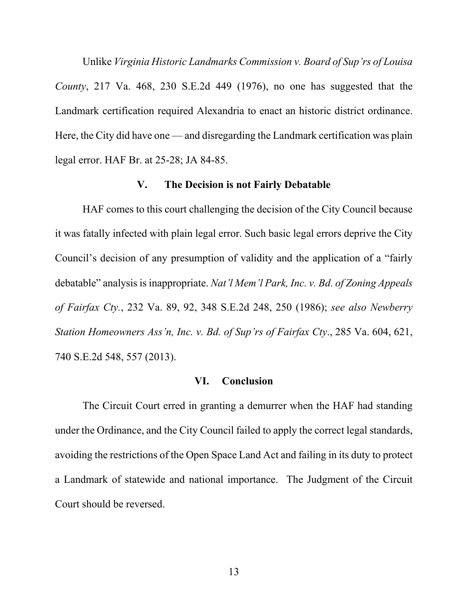Unlike *Virginia Historic Landmarks Commission v. Board of Sup'rs of Louisa County*, 217 Va. 468, 230 S.E.2d 449 (1976), no one has suggested that the Landmark certification required Alexandria to enact an historic district ordinance. Here, the City did have one — and disregarding the Landmark certification was plain legal error. HAF Br. at 25-28; JA 84-85.

### **V. The Decision is not Fairly Debatable**

HAF comes to this court challenging the decision of the City Council because it was fatally infected with plain legal error. Such basic legal errors deprive the City Council's decision of any presumption of validity and the application of a "fairly debatable" analysis is inappropriate. *Nat'l Mem'l Park, Inc. v. Bd. of Zoning Appeals of Fairfax Cty.*, 232 Va. 89, 92, 348 S.E.2d 248, 250 (1986); *see also Newberry Station Homeowners Ass'n, Inc. v. Bd. of Sup'rs of Fairfax Cty*., 285 Va. 604, 621, 740 S.E.2d 548, 557 (2013).

### **VI. Conclusion**

The Circuit Court erred in granting a demurrer when the HAF had standing under the Ordinance, and the City Council failed to apply the correct legal standards, avoiding the restrictions of the Open Space Land Act and failing in its duty to protect a Landmark of statewide and national importance. The Judgment of the Circuit Court should be reversed.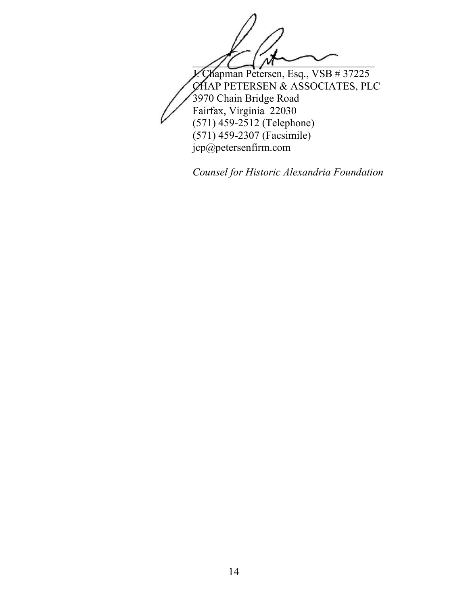

*Counsel for Historic Alexandria Foundation*